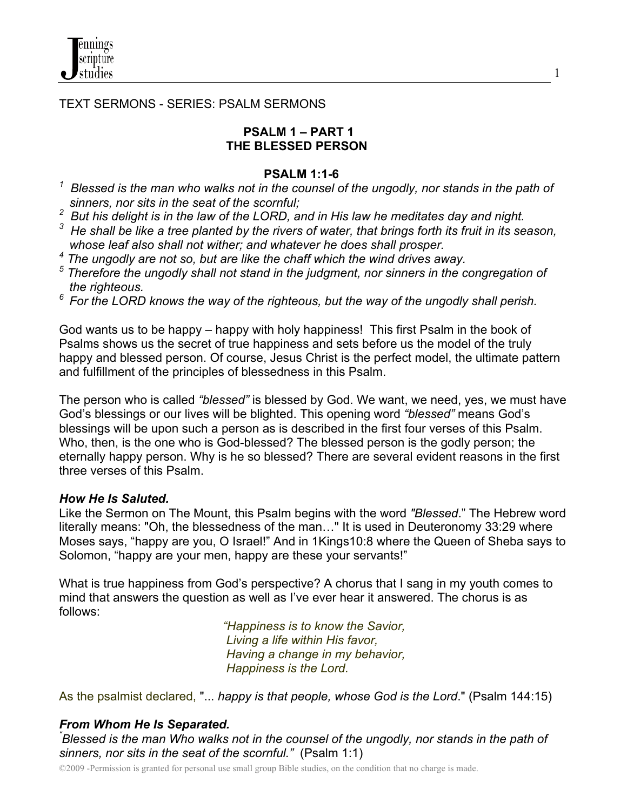

TEXT SERMONS - SERIES: PSALM SERMONS

### **PSALM 1 – PART 1 THE BLESSED PERSON**

1

#### **PSALM 1:1-6**

- *1 Blessed is the man who walks not in the counsel of the ungodly, nor stands in the path of sinners, nor sits in the seat of the scornful;*
- *<sup>2</sup> But his delight is in the law of the LORD, and in His law he meditates day and night.*
- *<sup>3</sup> He shall be like a tree planted by the rivers of water, that brings forth its fruit in its season, whose leaf also shall not wither; and whatever he does shall prosper.*
- *4 The ungodly are not so, but are like the chaff which the wind drives away.*
- <sup>5</sup> Therefore the ungodly shall not stand in the judgment, nor sinners in the congregation of
- *the righteous. 6 For the LORD knows the way of the righteous, but the way of the ungodly shall perish.*

God wants us to be happy – happy with holy happiness! This first Psalm in the book of Psalms shows us the secret of true happiness and sets before us the model of the truly happy and blessed person. Of course, Jesus Christ is the perfect model, the ultimate pattern and fulfillment of the principles of blessedness in this Psalm.

The person who is called *"blessed"* is blessed by God. We want, we need, yes, we must have God's blessings or our lives will be blighted. This opening word *"blessed"* means God's blessings will be upon such a person as is described in the first four verses of this Psalm. Who, then, is the one who is God-blessed? The blessed person is the godly person; the eternally happy person. Why is he so blessed? There are several evident reasons in the first three verses of this Psalm.

### *How He Is Saluted.*

Like the Sermon on The Mount, this Psalm begins with the word *"Blessed*." The Hebrew word literally means: "Oh, the blessedness of the man…" It is used in Deuteronomy 33:29 where Moses says, "happy are you, O Israel!" And in 1Kings10:8 where the Queen of Sheba says to Solomon, "happy are your men, happy are these your servants!"

What is true happiness from God's perspective? A chorus that I sang in my youth comes to mind that answers the question as well as I've ever hear it answered. The chorus is as follows:

> *"Happiness is to know the Savior, Living a life within His favor, Having a change in my behavior, Happiness is the Lord.*

As the psalmist declared, "... *happy is that people, whose God is the Lord*." (Psalm 144:15)

### *From Whom He Is Separated.*

*" Blessed is the man Who walks not in the counsel of the ungodly, nor stands in the path of sinners, nor sits in the seat of the scornful."* (Psalm 1:1)

©2009 -Permission is granted for personal use small group Bible studies, on the condition that no charge is made.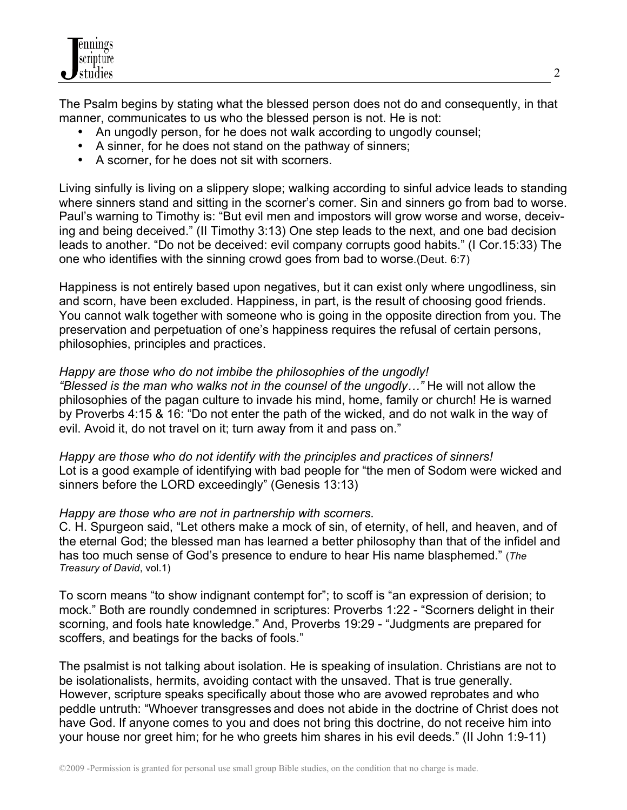

The Psalm begins by stating what the blessed person does not do and consequently, in that manner, communicates to us who the blessed person is not. He is not:

- An ungodly person, for he does not walk according to ungodly counsel;
- A sinner, for he does not stand on the pathway of sinners;
- A scorner, for he does not sit with scorners.

Living sinfully is living on a slippery slope; walking according to sinful advice leads to standing where sinners stand and sitting in the scorner's corner. Sin and sinners go from bad to worse. Paul's warning to Timothy is: "But evil men and impostors will grow worse and worse, deceiving and being deceived." (II Timothy 3:13) One step leads to the next, and one bad decision leads to another. "Do not be deceived: evil company corrupts good habits." (I Cor.15:33) The one who identifies with the sinning crowd goes from bad to worse.(Deut. 6:7)

Happiness is not entirely based upon negatives, but it can exist only where ungodliness, sin and scorn, have been excluded. Happiness, in part, is the result of choosing good friends. You cannot walk together with someone who is going in the opposite direction from you. The preservation and perpetuation of one's happiness requires the refusal of certain persons, philosophies, principles and practices.

### *Happy are those who do not imbibe the philosophies of the ungodly!*

*"Blessed is the man who walks not in the counsel of the ungodly…"* He will not allow the philosophies of the pagan culture to invade his mind, home, family or church! He is warned by Proverbs 4:15 & 16: "Do not enter the path of the wicked, and do not walk in the way of evil. Avoid it, do not travel on it; turn away from it and pass on."

*Happy are those who do not identify with the principles and practices of sinners!* Lot is a good example of identifying with bad people for "the men of Sodom were wicked and sinners before the LORD exceedingly" (Genesis 13:13)

### *Happy are those who are not in partnership with scorners*.

C. H. Spurgeon said, "Let others make a mock of sin, of eternity, of hell, and heaven, and of the eternal God; the blessed man has learned a better philosophy than that of the infidel and has too much sense of God's presence to endure to hear His name blasphemed." (*The Treasury of David*, vol.1)

To scorn means "to show indignant contempt for"; to scoff is "an expression of derision; to mock." Both are roundly condemned in scriptures: Proverbs 1:22 - "Scorners delight in their scorning, and fools hate knowledge." And, Proverbs 19:29 - "Judgments are prepared for scoffers, and beatings for the backs of fools."

The psalmist is not talking about isolation. He is speaking of insulation. Christians are not to be isolationalists, hermits, avoiding contact with the unsaved. That is true generally. However, scripture speaks specifically about those who are avowed reprobates and who peddle untruth: "Whoever transgresses and does not abide in the doctrine of Christ does not have God. If anyone comes to you and does not bring this doctrine, do not receive him into your house nor greet him; for he who greets him shares in his evil deeds." (II John 1:9-11)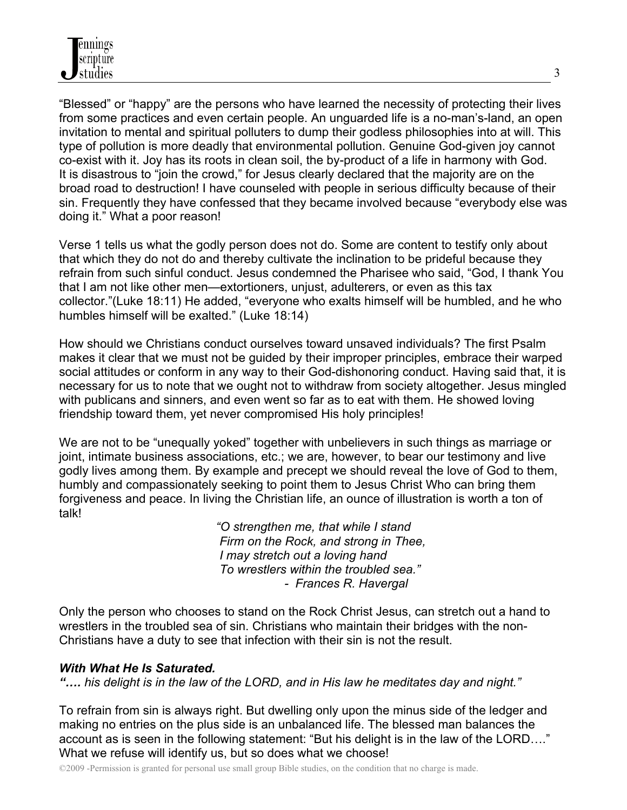"Blessed" or "happy" are the persons who have learned the necessity of protecting their lives from some practices and even certain people. An unguarded life is a no-man's-land, an open invitation to mental and spiritual polluters to dump their godless philosophies into at will. This type of pollution is more deadly that environmental pollution. Genuine God-given joy cannot co-exist with it. Joy has its roots in clean soil, the by-product of a life in harmony with God. It is disastrous to "join the crowd," for Jesus clearly declared that the majority are on the broad road to destruction! I have counseled with people in serious difficulty because of their sin. Frequently they have confessed that they became involved because "everybody else was doing it." What a poor reason!

Verse 1 tells us what the godly person does not do. Some are content to testify only about that which they do not do and thereby cultivate the inclination to be prideful because they refrain from such sinful conduct. Jesus condemned the Pharisee who said, "God, I thank You that I am not like other men—extortioners, unjust, adulterers, or even as this tax collector."(Luke 18:11) He added, "everyone who exalts himself will be humbled, and he who humbles himself will be exalted." (Luke 18:14)

How should we Christians conduct ourselves toward unsaved individuals? The first Psalm makes it clear that we must not be guided by their improper principles, embrace their warped social attitudes or conform in any way to their God-dishonoring conduct. Having said that, it is necessary for us to note that we ought not to withdraw from society altogether. Jesus mingled with publicans and sinners, and even went so far as to eat with them. He showed loving friendship toward them, yet never compromised His holy principles!

We are not to be "unequally yoked" together with unbelievers in such things as marriage or joint, intimate business associations, etc.; we are, however, to bear our testimony and live godly lives among them. By example and precept we should reveal the love of God to them, humbly and compassionately seeking to point them to Jesus Christ Who can bring them forgiveness and peace. In living the Christian life, an ounce of illustration is worth a ton of talk!

> *"O strengthen me, that while I stand Firm on the Rock, and strong in Thee, I may stretch out a loving hand To wrestlers within the troubled sea." - Frances R. Havergal*

Only the person who chooses to stand on the Rock Christ Jesus, can stretch out a hand to wrestlers in the troubled sea of sin. Christians who maintain their bridges with the non-Christians have a duty to see that infection with their sin is not the result.

### *With What He Is Saturated.*

*"…. his delight is in the law of the LORD, and in His law he meditates day and night."*

To refrain from sin is always right. But dwelling only upon the minus side of the ledger and making no entries on the plus side is an unbalanced life. The blessed man balances the account as is seen in the following statement: "But his delight is in the law of the LORD…." What we refuse will identify us, but so does what we choose!

©2009 -Permission is granted for personal use small group Bible studies, on the condition that no charge is made.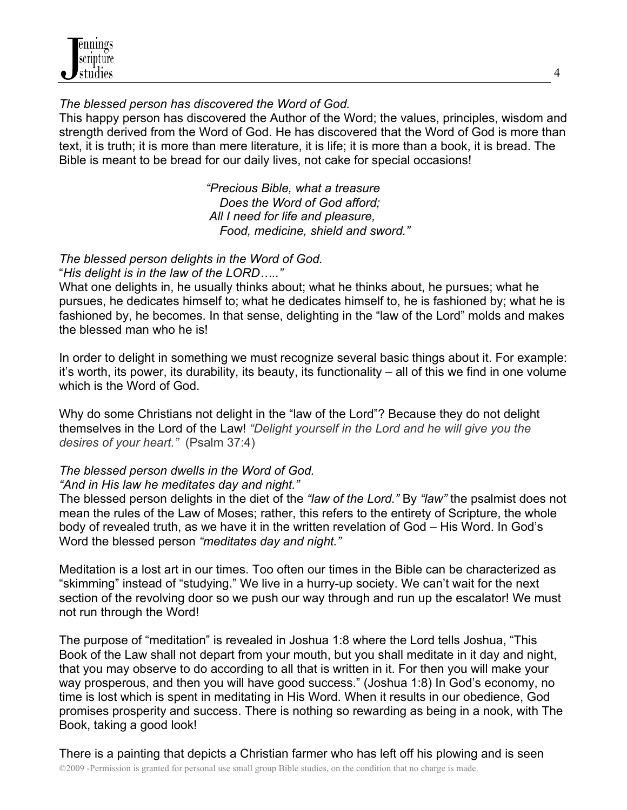*The blessed person has discovered the Word of God.*

This happy person has discovered the Author of the Word; the values, principles, wisdom and strength derived from the Word of God. He has discovered that the Word of God is more than text, it is truth; it is more than mere literature, it is life; it is more than a book, it is bread. The Bible is meant to be bread for our daily lives, not cake for special occasions!

> *"Precious Bible, what a treasure Does the Word of God afford; All I need for life and pleasure, Food, medicine, shield and sword."*

*The blessed person delights in the Word of God.*

"*His delight is in the law of the LORD….."*

What one delights in, he usually thinks about; what he thinks about, he pursues; what he pursues, he dedicates himself to; what he dedicates himself to, he is fashioned by; what he is fashioned by, he becomes. In that sense, delighting in the "law of the Lord" molds and makes the blessed man who he is!

In order to delight in something we must recognize several basic things about it. For example: it's worth, its power, its durability, its beauty, its functionality – all of this we find in one volume which is the Word of God.

Why do some Christians not delight in the "law of the Lord"? Because they do not delight themselves in the Lord of the Law! *"Delight yourself in the Lord and he will give you the desires of your heart."* (Psalm 37:4)

# *The blessed person dwells in the Word of God.*

# *"And in His law he meditates day and night."*

The blessed person delights in the diet of the *"law of the Lord."* By *"law"* the psalmist does not mean the rules of the Law of Moses; rather, this refers to the entirety of Scripture, the whole body of revealed truth, as we have it in the written revelation of God – His Word. In God's Word the blessed person *"meditates day and night."* 

Meditation is a lost art in our times. Too often our times in the Bible can be characterized as "skimming" instead of "studying." We live in a hurry-up society. We can't wait for the next section of the revolving door so we push our way through and run up the escalator! We must not run through the Word!

The purpose of "meditation" is revealed in Joshua 1:8 where the Lord tells Joshua, "This Book of the Law shall not depart from your mouth, but you shall meditate in it day and night, that you may observe to do according to all that is written in it. For then you will make your way prosperous, and then you will have good success." (Joshua 1:8) In God's economy, no time is lost which is spent in meditating in His Word. When it results in our obedience, God promises prosperity and success. There is nothing so rewarding as being in a nook, with The Book, taking a good look!

©2009 -Permission is granted for personal use small group Bible studies, on the condition that no charge is made. There is a painting that depicts a Christian farmer who has left off his plowing and is seen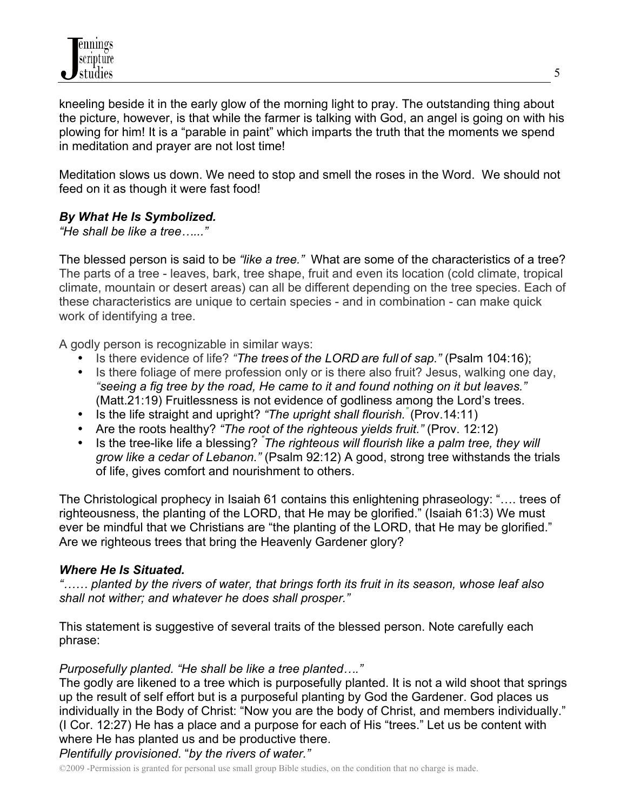kneeling beside it in the early glow of the morning light to pray. The outstanding thing about the picture, however, is that while the farmer is talking with God, an angel is going on with his plowing for him! It is a "parable in paint" which imparts the truth that the moments we spend in meditation and prayer are not lost time!

Meditation slows us down. We need to stop and smell the roses in the Word. We should not feed on it as though it were fast food!

### *By What He Is Symbolized.*

*"He shall be like a tree…..."*

The blessed person is said to be *"like a tree."* What are some of the characteristics of a tree? The parts of a tree - leaves, bark, tree shape, fruit and even its location (cold climate, tropical climate, mountain or desert areas) can all be different depending on the tree species. Each of these characteristics are unique to certain species - and in combination - can make quick work of identifying a tree.

A godly person is recognizable in similar ways:

- Is there evidence of life? *"The trees of the LORD are full of sap."* (Psalm 104:16);
- Is there foliage of mere profession only or is there also fruit? Jesus, walking one day, *"seeing a fig tree by the road, He came to it and found nothing on it but leaves."* (Matt.21:19) Fruitlessness is not evidence of godliness among the Lord's trees.
- Is the life straight and upright? *"The upright shall flourish."* (Prov.14:11)
- Are the roots healthy? *"The root of the righteous yields fruit."* (Prov. 12:12)
- Is the tree-like life a blessing? *" The righteous will flourish like a palm tree, they will grow like a cedar of Lebanon."* (Psalm 92:12) A good, strong tree withstands the trials of life, gives comfort and nourishment to others.

The Christological prophecy in Isaiah 61 contains this enlightening phraseology: "…. trees of righteousness, the planting of the LORD, that He may be glorified." (Isaiah 61:3) We must ever be mindful that we Christians are "the planting of the LORD, that He may be glorified." Are we righteous trees that bring the Heavenly Gardener glory?

### *Where He Is Situated.*

*"…… planted by the rivers of water, that brings forth its fruit in its season, whose leaf also shall not wither; and whatever he does shall prosper."*

This statement is suggestive of several traits of the blessed person. Note carefully each phrase:

### *Purposefully planted. "He shall be like a tree planted…."*

The godly are likened to a tree which is purposefully planted. It is not a wild shoot that springs up the result of self effort but is a purposeful planting by God the Gardener. God places us individually in the Body of Christ: "Now you are the body of Christ, and members individually." (I Cor. 12:27) He has a place and a purpose for each of His "trees." Let us be content with where He has planted us and be productive there.

# *Plentifully provisioned*. "*by the rivers of water."*

©2009 -Permission is granted for personal use small group Bible studies, on the condition that no charge is made.